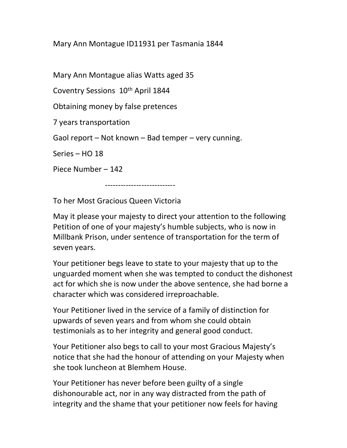Mary Ann Montague ID11931 per Tasmania 1844

Mary Ann Montague alias Watts aged 35

Coventry Sessions 10<sup>th</sup> April 1844

Obtaining money by false pretences

7 years transportation

Gaol report – Not known – Bad temper – very cunning.

Series – HO 18

Piece Number – 142

---------------------------

To her Most Gracious Queen Victoria

May it please your majesty to direct your attention to the following Petition of one of your majesty's humble subjects, who is now in Millbank Prison, under sentence of transportation for the term of seven years.

Your petitioner begs leave to state to your majesty that up to the unguarded moment when she was tempted to conduct the dishonest act for which she is now under the above sentence, she had borne a character which was considered irreproachable.

Your Petitioner lived in the service of a family of distinction for upwards of seven years and from whom she could obtain testimonials as to her integrity and general good conduct.

Your Petitioner also begs to call to your most Gracious Majesty's notice that she had the honour of attending on your Majesty when she took luncheon at Blemhem House.

Your Petitioner has never before been guilty of a single dishonourable act, nor in any way distracted from the path of integrity and the shame that your petitioner now feels for having